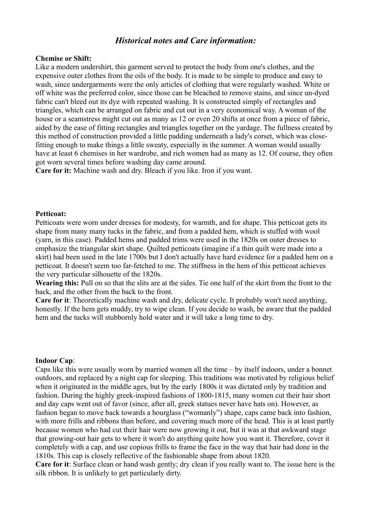# *Historical notes and Care information:*

## **Chemise or Shift:**

Like a modern undershirt, this garment served to protect the body from one's clothes, and the expensive outer clothes from the oils of the body. It is made to be simple to produce and easy to wash, since undergarments were the only articles of clothing that were regularly washed. White or off white was the preferred color, since those can be bleached to remove stains, and since un-dyed fabric can't bleed out its dye with repeated washing. It is constructed simply of rectangles and triangles, which can be arranged on fabric and cut out in a very economical way. A woman of the house or a seamstress might cut out as many as 12 or even 20 shifts at once from a piece of fabric, aided by the ease of fitting rectangles and triangles together on the yardage. The fullness created by this method of construction provided a little padding underneath a lady's corset, which was closefitting enough to make things a little sweaty, especially in the summer. A woman would usually have at least 6 chemises in her wardrobe, and rich women had as many as 12. Of course, they often got worn several times before washing day came around.

**Care for it:** Machine wash and dry. Bleach if you like. Iron if you want.

#### **Petticoat:**

Petticoats were worn under dresses for modesty, for warmth, and for shape. This petticoat gets its shape from many many tucks in the fabric, and from a padded hem, which is stuffed with wool (yarn, in this case). Padded hems and padded trims were used in the 1820s on outer dresses to emphasize the triangular skirt shape. Quilted petticoats (imagine if a thin quilt were made into a skirt) had been used in the late 1700s but I don't actually have hard evidence for a padded hem on a petticoat. It doesn't seem too far-fetched to me. The stiffness in the hem of this petticoat achieves the very particular silhouette of the 1820s.

**Wearing this:** Pull on so that the slits are at the sides. Tie one half of the skirt from the front to the back, and the other from the back to the front.

**Care for it**: Theoretically machine wash and dry, delicate cycle. It probably won't need anything, honestly. If the hem gets muddy, try to wipe clean. If you decide to wash, be aware that the padded hem and the tucks will stubbornly hold water and it will take a long time to dry.

#### **Indoor Cap**:

Caps like this were usually worn by married women all the time – by itself indoors, under a bonnet outdoors, and replaced by a night cap for sleeping. This traditions was motivated by religious belief when it originated in the middle ages, but by the early 1800s it was dictated only by tradition and fashion. During the highly greek-inspired fashions of 1800-1815, many women cut their hair short and day caps went out of favor (since, after all, greek statues never have hats on). However, as fashion began to move back towards a hourglass ("womanly") shape, caps came back into fashion, with more frills and ribbons than before, and covering much more of the head. This is at least partly because women who had cut their hair were now growing it out, but it was at that awkward stage that growing-out hair gets to where it won't do anything quite how you want it. Therefore, cover it completely with a cap, and use copious frills to frame the face in the way that hair had done in the 1810s. This cap is closely reflective of the fashionable shape from about 1820.

**Care for it**: Surface clean or hand wash gently; dry clean if you really want to. The issue here is the silk ribbon. It is unlikely to get particularly dirty.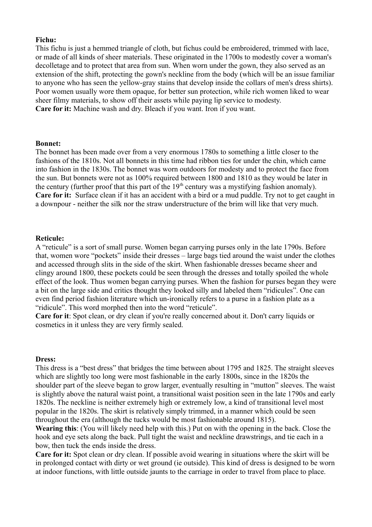### **Fichu:**

This fichu is just a hemmed triangle of cloth, but fichus could be embroidered, trimmed with lace, or made of all kinds of sheer materials. These originated in the 1700s to modestly cover a woman's decolletage and to protect that area from sun. When worn under the gown, they also served as an extension of the shift, protecting the gown's neckline from the body (which will be an issue familiar to anyone who has seen the yellow-gray stains that develop inside the collars of men's dress shirts). Poor women usually wore them opaque, for better sun protection, while rich women liked to wear sheer filmy materials, to show off their assets while paying lip service to modesty. **Care for it:** Machine wash and dry. Bleach if you want. Iron if you want.

#### **Bonnet:**

The bonnet has been made over from a very enormous 1780s to something a little closer to the fashions of the 1810s. Not all bonnets in this time had ribbon ties for under the chin, which came into fashion in the 1830s. The bonnet was worn outdoors for modesty and to protect the face from the sun. But bonnets were not as 100% required between 1800 and 1810 as they would be later in the century (further proof that this part of the  $19<sup>th</sup>$  century was a mystifying fashion anomaly). **Care for it:** Surface clean if it has an accident with a bird or a mud puddle. Try not to get caught in a downpour - neither the silk nor the straw understructure of the brim will like that very much.

#### **Reticule:**

A "reticule" is a sort of small purse. Women began carrying purses only in the late 1790s. Before that, women wore "pockets" inside their dresses – large bags tied around the waist under the clothes and accessed through slits in the side of the skirt. When fashionable dresses became sheer and clingy around 1800, these pockets could be seen through the dresses and totally spoiled the whole effect of the look. Thus women began carrying purses. When the fashion for purses began they were a bit on the large side and critics thought they looked silly and labeled them "ridicules". One can even find period fashion literature which un-ironically refers to a purse in a fashion plate as a "ridicule". This word morphed then into the word "reticule".

**Care for it**: Spot clean, or dry clean if you're really concerned about it. Don't carry liquids or cosmetics in it unless they are very firmly sealed.

#### **Dress:**

This dress is a "best dress" that bridges the time between about 1795 and 1825. The straight sleeves which are slightly too long were most fashionable in the early 1800s, since in the 1820s the shoulder part of the sleeve began to grow larger, eventually resulting in "mutton" sleeves. The waist is slightly above the natural waist point, a transitional waist position seen in the late 1790s and early 1820s. The neckline is neither extremely high or extremely low, a kind of transitional level most popular in the 1820s. The skirt is relatively simply trimmed, in a manner which could be seen throughout the era (although the tucks would be most fashionable around 1815).

**Wearing this**: (You will likely need help with this.) Put on with the opening in the back. Close the hook and eye sets along the back. Pull tight the waist and neckline drawstrings, and tie each in a bow, then tuck the ends inside the dress.

**Care for it:** Spot clean or dry clean. If possible avoid wearing in situations where the skirt will be in prolonged contact with dirty or wet ground (ie outside). This kind of dress is designed to be worn at indoor functions, with little outside jaunts to the carriage in order to travel from place to place.